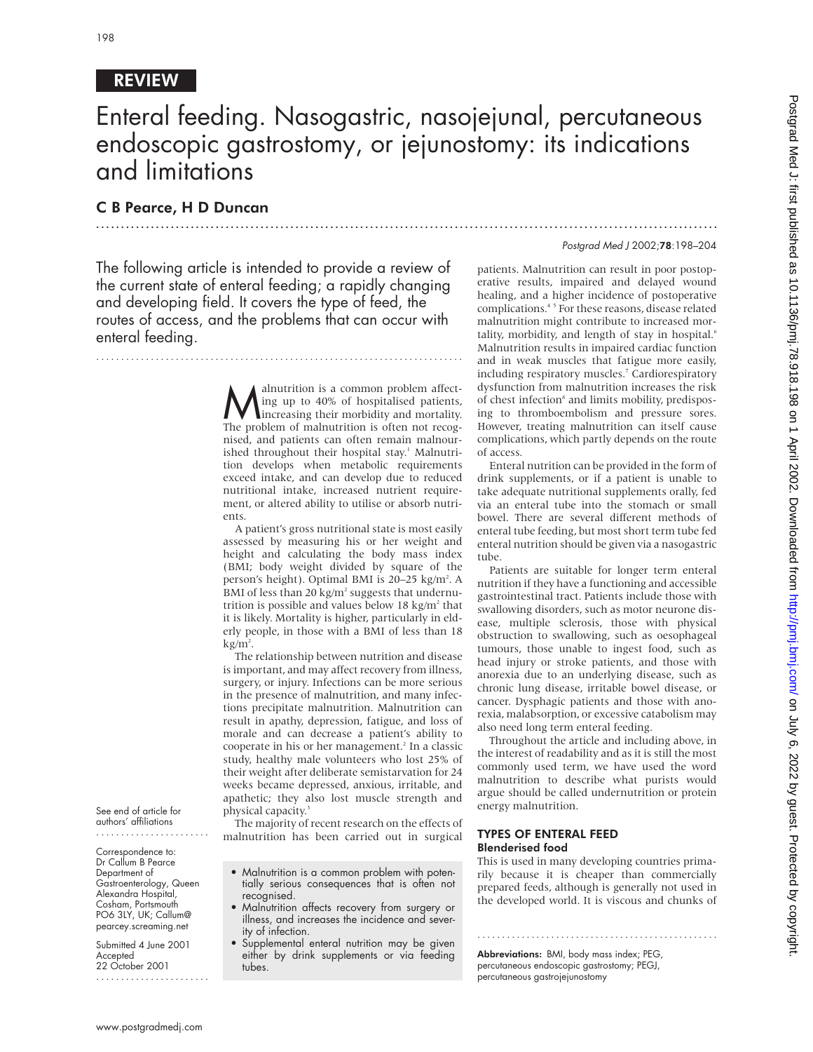## REVIEW

# Enteral feeding. Nasogastric, nasojejunal, percutaneous endoscopic gastrostomy, or jejunostomy: its indications and limitations

.............................................................................................................................

## C B Pearce, H D Duncan

The following article is intended to provide a review of the current state of enteral feeding; a rapidly changing and developing field. It covers the type of feed, the routes of access, and the problems that can occur with enteral feeding.

> **Malnutrition is a common problem affect-**<br>increasing their morbidity and mortality.<br>The problem of malnutrition is often not recoging up to 40% of hospitalised patients, The problem of malnutrition is often not recognised, and patients can often remain malnourished throughout their hospital stay.<sup>1</sup> Malnutrition develops when metabolic requirements exceed intake, and can develop due to reduced nutritional intake, increased nutrient requirement, or altered ability to utilise or absorb nutrients.

..........................................................................

A patient's gross nutritional state is most easily assessed by measuring his or her weight and height and calculating the body mass index (BMI; body weight divided by square of the person's height). Optimal BMI is 20–25 kg/m<sup>2</sup>. A BMI of less than  $20 \text{ kg/m}^2$  suggests that undernutrition is possible and values below  $18 \text{ kg/m}^2$  that it is likely. Mortality is higher, particularly in elderly people, in those with a BMI of less than 18  $kg/m<sup>2</sup>$ .

The relationship between nutrition and disease is important, and may affect recovery from illness, surgery, or injury. Infections can be more serious in the presence of malnutrition, and many infections precipitate malnutrition. Malnutrition can result in apathy, depression, fatigue, and loss of morale and can decrease a patient's ability to cooperate in his or her management.<sup>2</sup> In a classic study, healthy male volunteers who lost 25% of their weight after deliberate semistarvation for 24 weeks became depressed, anxious, irritable, and apathetic; they also lost muscle strength and physical capacity.<sup>3</sup>

The majority of recent research on the effects of malnutrition has been carried out in surgical

- Malnutrition is a common problem with potentially serious consequences that is often not recognised.
- Malnutrition affects recovery from surgery or illness, and increases the incidence and severity of infection.
- Supplemental enteral nutrition may be given either by drink supplements or via feeding tubes.

#### Postgrad Med J 2002;78:198–204

patients. Malnutrition can result in poor postoperative results, impaired and delayed wound healing, and a higher incidence of postoperative complications.<sup>45</sup> For these reasons, disease related malnutrition might contribute to increased mortality, morbidity, and length of stay in hospital.<sup>6</sup> Malnutrition results in impaired cardiac function and in weak muscles that fatigue more easily, including respiratory muscles.<sup>7</sup> Cardiorespiratory dysfunction from malnutrition increases the risk of chest infection<sup>8</sup> and limits mobility, predisposing to thromboembolism and pressure sores. However, treating malnutrition can itself cause complications, which partly depends on the route of access.

Enteral nutrition can be provided in the form of drink supplements, or if a patient is unable to take adequate nutritional supplements orally, fed via an enteral tube into the stomach or small bowel. There are several different methods of enteral tube feeding, but most short term tube fed enteral nutrition should be given via a nasogastric tube.

Patients are suitable for longer term enteral nutrition if they have a functioning and accessible gastrointestinal tract. Patients include those with swallowing disorders, such as motor neurone disease, multiple sclerosis, those with physical obstruction to swallowing, such as oesophageal tumours, those unable to ingest food, such as head injury or stroke patients, and those with anorexia due to an underlying disease, such as chronic lung disease, irritable bowel disease, or cancer. Dysphagic patients and those with anorexia, malabsorption, or excessive catabolism may also need long term enteral feeding.

Throughout the article and including above, in the interest of readability and as it is still the most commonly used term, we have used the word malnutrition to describe what purists would argue should be called undernutrition or protein energy malnutrition.

#### TYPES OF ENTERAL FEED Blenderised food

This is used in many developing countries primarily because it is cheaper than commercially prepared feeds, although is generally not used in the developed world. It is viscous and chunks of

.................................................

Abbreviations: BMI, body mass index; PEG, percutaneous endoscopic gastrostomy; PEGJ, percutaneous gastrojejunostomy

#### See end of article for authors' affiliations .......................

Correspondence to: Dr Callum B Pearce Department of Gastroenterology, Queen Alexandra Hospital, Cosham, Portsmouth PO6 3LY, UK; Callum@ pearcey.screaming.net

Submitted 4 June 2001 Accepted 22 October 2001

.......................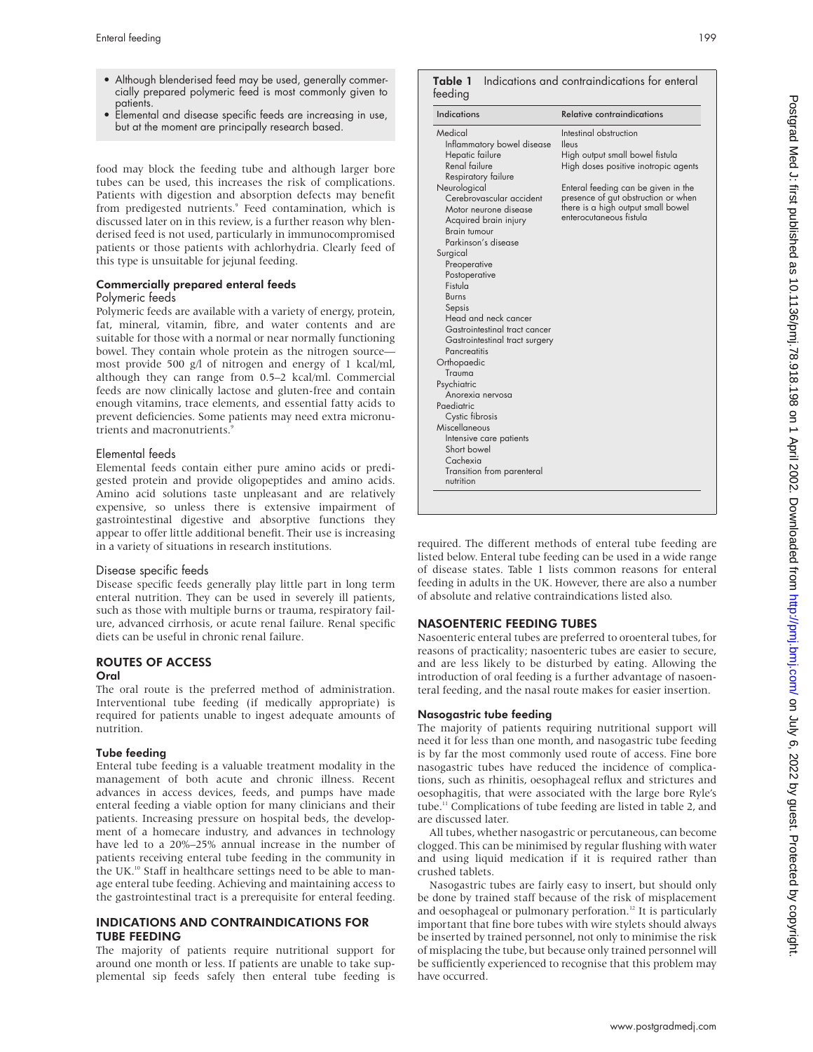- Although blenderised feed may be used, generally commercially prepared polymeric feed is most commonly given to patients.
- Elemental and disease specific feeds are increasing in use, but at the moment are principally research based.

food may block the feeding tube and although larger bore tubes can be used, this increases the risk of complications. Patients with digestion and absorption defects may benefit from predigested nutrients.<sup>9</sup> Feed contamination, which is discussed later on in this review, is a further reason why blenderised feed is not used, particularly in immunocompromised patients or those patients with achlorhydria. Clearly feed of this type is unsuitable for jejunal feeding.

## Commercially prepared enteral feeds

## Polymeric feeds

Polymeric feeds are available with a variety of energy, protein, fat, mineral, vitamin, fibre, and water contents and are suitable for those with a normal or near normally functioning bowel. They contain whole protein as the nitrogen source most provide 500 g/l of nitrogen and energy of 1 kcal/ml, although they can range from 0.5–2 kcal/ml. Commercial feeds are now clinically lactose and gluten-free and contain enough vitamins, trace elements, and essential fatty acids to prevent deficiencies. Some patients may need extra micronutrients and macronutrients.9

## Elemental feeds

Elemental feeds contain either pure amino acids or predigested protein and provide oligopeptides and amino acids. Amino acid solutions taste unpleasant and are relatively expensive, so unless there is extensive impairment of gastrointestinal digestive and absorptive functions they appear to offer little additional benefit. Their use is increasing in a variety of situations in research institutions.

#### Disease specific feeds

Disease specific feeds generally play little part in long term enteral nutrition. They can be used in severely ill patients, such as those with multiple burns or trauma, respiratory failure, advanced cirrhosis, or acute renal failure. Renal specific diets can be useful in chronic renal failure.

## ROUTES OF ACCESS

#### Oral

The oral route is the preferred method of administration. Interventional tube feeding (if medically appropriate) is required for patients unable to ingest adequate amounts of nutrition.

## Tube feeding

Enteral tube feeding is a valuable treatment modality in the management of both acute and chronic illness. Recent advances in access devices, feeds, and pumps have made enteral feeding a viable option for many clinicians and their patients. Increasing pressure on hospital beds, the development of a homecare industry, and advances in technology have led to a 20%–25% annual increase in the number of patients receiving enteral tube feeding in the community in the UK.<sup>10</sup> Staff in healthcare settings need to be able to manage enteral tube feeding. Achieving and maintaining access to the gastrointestinal tract is a prerequisite for enteral feeding.

## INDICATIONS AND CONTRAINDICATIONS FOR TUBE FEEDING

The majority of patients require nutritional support for around one month or less. If patients are unable to take supplemental sip feeds safely then enteral tube feeding is

## Table 1 Indications and contraindications for enteral feeding

| Indications                             | Relative contraindications                                    |  |
|-----------------------------------------|---------------------------------------------------------------|--|
| Medical                                 | Intestinal obstruction                                        |  |
| Inflammatory bowel disease              | <b>lleus</b>                                                  |  |
| Hepatic failure                         | High output small bowel fistula                               |  |
| Renal failure                           | High doses positive inotropic agents                          |  |
| Respiratory failure                     |                                                               |  |
| Neurological                            | Enteral feeding can be given in the                           |  |
| Cerebrovascular accident                | presence of gut obstruction or when                           |  |
| Motor neurone disease                   | there is a high output small bowel<br>enterocutaneous fistula |  |
| Acquired brain injury                   |                                                               |  |
| <b>Brain tumour</b>                     |                                                               |  |
| Parkinson's disease                     |                                                               |  |
| Surgical                                |                                                               |  |
| Preoperative                            |                                                               |  |
| Postoperative                           |                                                               |  |
| Fistula                                 |                                                               |  |
| Burns                                   |                                                               |  |
| Sepsis                                  |                                                               |  |
| Head and neck cancer                    |                                                               |  |
| Gastrointestinal tract cancer           |                                                               |  |
| Gastrointestinal tract surgery          |                                                               |  |
| Pancreatitis                            |                                                               |  |
| Orthopaedic                             |                                                               |  |
| Trauma                                  |                                                               |  |
| Psychiatric                             |                                                               |  |
| Anorexia nervosa<br>Paediatric          |                                                               |  |
|                                         |                                                               |  |
| Cystic fibrosis                         |                                                               |  |
| Miscellaneous                           |                                                               |  |
| Intensive care patients                 |                                                               |  |
| Short bowel                             |                                                               |  |
| Cachexia                                |                                                               |  |
| Transition from parenteral<br>nutrition |                                                               |  |
|                                         |                                                               |  |

required. The different methods of enteral tube feeding are listed below. Enteral tube feeding can be used in a wide range of disease states. Table 1 lists common reasons for enteral feeding in adults in the UK. However, there are also a number of absolute and relative contraindications listed also.

## NASOENTERIC FEEDING TUBES

Nasoenteric enteral tubes are preferred to oroenteral tubes, for reasons of practicality; nasoenteric tubes are easier to secure, and are less likely to be disturbed by eating. Allowing the introduction of oral feeding is a further advantage of nasoenteral feeding, and the nasal route makes for easier insertion.

#### Nasogastric tube feeding

The majority of patients requiring nutritional support will need it for less than one month, and nasogastric tube feeding is by far the most commonly used route of access. Fine bore nasogastric tubes have reduced the incidence of complications, such as rhinitis, oesophageal reflux and strictures and oesophagitis, that were associated with the large bore Ryle's tube.11 Complications of tube feeding are listed in table 2, and are discussed later.

All tubes, whether nasogastric or percutaneous, can become clogged. This can be minimised by regular flushing with water and using liquid medication if it is required rather than crushed tablets.

Nasogastric tubes are fairly easy to insert, but should only be done by trained staff because of the risk of misplacement and oesophageal or pulmonary perforation.<sup>12</sup> It is particularly important that fine bore tubes with wire stylets should always be inserted by trained personnel, not only to minimise the risk of misplacing the tube, but because only trained personnel will be sufficiently experienced to recognise that this problem may have occurred.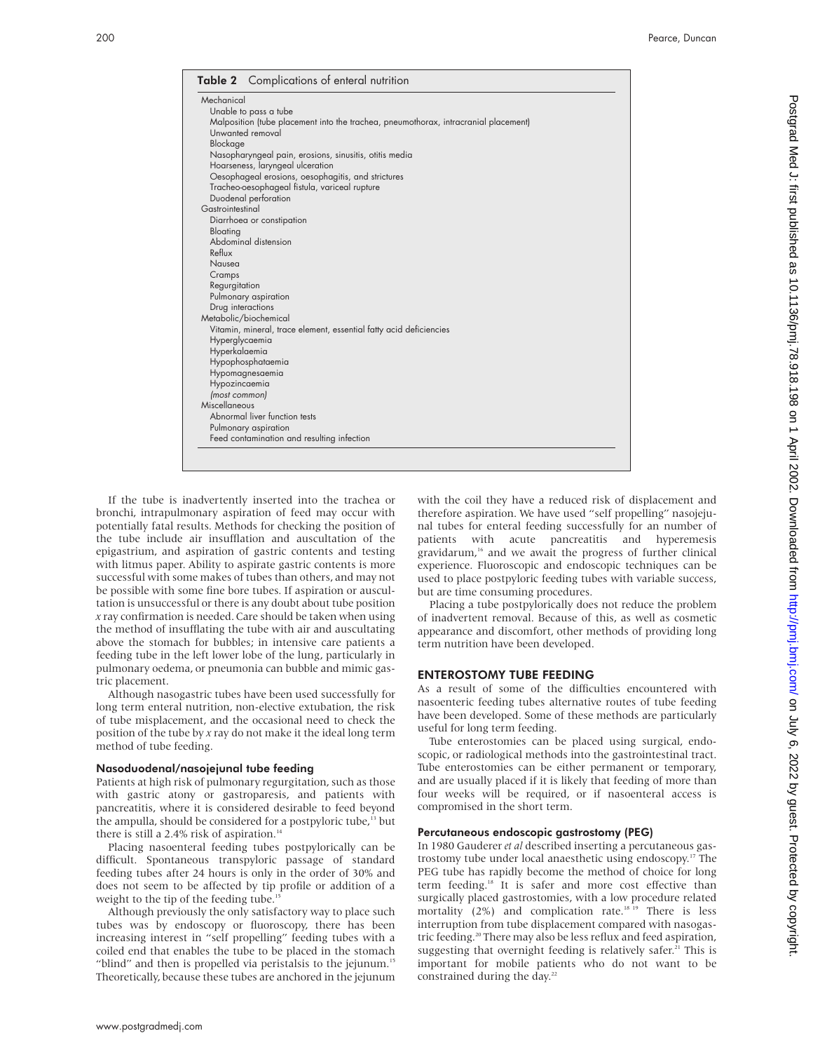| Mechanical                                                                          |  |
|-------------------------------------------------------------------------------------|--|
| Unable to pass a tube                                                               |  |
| Malposition (tube placement into the trachea, pneumothorax, intracranial placement) |  |
| Unwanted removal                                                                    |  |
| Blockage                                                                            |  |
| Nasopharyngeal pain, erosions, sinusitis, otitis media                              |  |
| Hoarseness, laryngeal ulceration                                                    |  |
| Oesophageal erosions, oesophagitis, and strictures                                  |  |
| Tracheo-oesophageal fistula, variceal rupture                                       |  |
| Duodenal perforation                                                                |  |
| Gastrointestinal                                                                    |  |
| Diarrhoea or constipation                                                           |  |
| Bloating                                                                            |  |
| Abdominal distension                                                                |  |
| Reflux                                                                              |  |
| Nausea                                                                              |  |
| Cramps                                                                              |  |
| Regurgitation                                                                       |  |
| Pulmonary aspiration                                                                |  |
| Drug interactions                                                                   |  |
| Metabolic/biochemical                                                               |  |
| Vitamin, mineral, trace element, essential fatty acid deficiencies                  |  |
| Hyperglycaemia                                                                      |  |
| Hyperkalaemia                                                                       |  |
| Hypophosphataemia                                                                   |  |
| Hypomagnesaemia                                                                     |  |
| Hypozincaemia                                                                       |  |
| (most common)                                                                       |  |
| Miscellaneous                                                                       |  |
| Abnormal liver function tests                                                       |  |
| Pulmonary aspiration                                                                |  |
| Feed contamination and resulting infection                                          |  |

If the tube is inadvertently inserted into the trachea or bronchi, intrapulmonary aspiration of feed may occur with potentially fatal results. Methods for checking the position of the tube include air insufflation and auscultation of the epigastrium, and aspiration of gastric contents and testing with litmus paper. Ability to aspirate gastric contents is more successful with some makes of tubes than others, and may not be possible with some fine bore tubes. If aspiration or auscultation is unsuccessful or there is any doubt about tube position *x* ray confirmation is needed. Care should be taken when using the method of insufflating the tube with air and auscultating above the stomach for bubbles; in intensive care patients a feeding tube in the left lower lobe of the lung, particularly in pulmonary oedema, or pneumonia can bubble and mimic gastric placement.

Although nasogastric tubes have been used successfully for long term enteral nutrition, non-elective extubation, the risk of tube misplacement, and the occasional need to check the position of the tube by *x* ray do not make it the ideal long term method of tube feeding.

#### Nasoduodenal/nasojejunal tube feeding

Patients at high risk of pulmonary regurgitation, such as those with gastric atony or gastroparesis, and patients with pancreatitis, where it is considered desirable to feed beyond the ampulla, should be considered for a postpyloric tube,<sup>13</sup> but there is still a 2.4% risk of aspiration.<sup>14</sup>

Placing nasoenteral feeding tubes postpylorically can be difficult. Spontaneous transpyloric passage of standard feeding tubes after 24 hours is only in the order of 30% and does not seem to be affected by tip profile or addition of a weight to the tip of the feeding tube.<sup>1</sup>

Although previously the only satisfactory way to place such tubes was by endoscopy or fluoroscopy, there has been increasing interest in "self propelling" feeding tubes with a coiled end that enables the tube to be placed in the stomach "blind" and then is propelled via peristalsis to the jejunum.<sup>15</sup> Theoretically, because these tubes are anchored in the jejunum

with the coil they have a reduced risk of displacement and therefore aspiration. We have used "self propelling" nasojejunal tubes for enteral feeding successfully for an number of patients with acute pancreatitis and hyperemesis gravidarum,<sup>16</sup> and we await the progress of further clinical experience. Fluoroscopic and endoscopic techniques can be used to place postpyloric feeding tubes with variable success, but are time consuming procedures.

Placing a tube postpylorically does not reduce the problem of inadvertent removal. Because of this, as well as cosmetic appearance and discomfort, other methods of providing long term nutrition have been developed.

## ENTEROSTOMY TUBE FEEDING

As a result of some of the difficulties encountered with nasoenteric feeding tubes alternative routes of tube feeding have been developed. Some of these methods are particularly useful for long term feeding.

Tube enterostomies can be placed using surgical, endoscopic, or radiological methods into the gastrointestinal tract. Tube enterostomies can be either permanent or temporary, and are usually placed if it is likely that feeding of more than four weeks will be required, or if nasoenteral access is compromised in the short term.

#### Percutaneous endoscopic gastrostomy (PEG)

In 1980 Gauderer *et al* described inserting a percutaneous gastrostomy tube under local anaesthetic using endoscopy.17 The PEG tube has rapidly become the method of choice for long term feeding.<sup>18</sup> It is safer and more cost effective than surgically placed gastrostomies, with a low procedure related mortality  $(2%)$  and complication rate.<sup>18 19</sup> There is less interruption from tube displacement compared with nasogastric feeding.<sup>20</sup> There may also be less reflux and feed aspiration, suggesting that overnight feeding is relatively safer.<sup>21</sup> This is important for mobile patients who do not want to be constrained during the day.<sup>22</sup>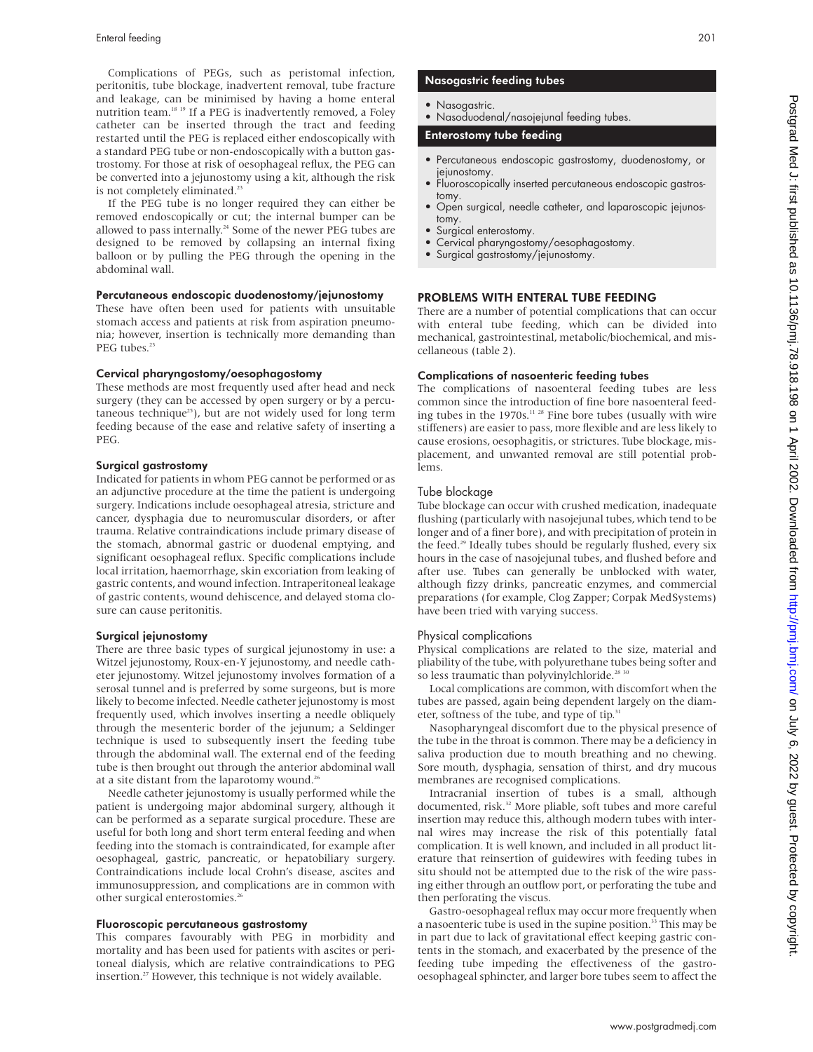Complications of PEGs, such as peristomal infection, peritonitis, tube blockage, inadvertent removal, tube fracture and leakage, can be minimised by having a home enteral nutrition team.18 19 If a PEG is inadvertently removed, a Foley catheter can be inserted through the tract and feeding restarted until the PEG is replaced either endoscopically with a standard PEG tube or non-endoscopically with a button gastrostomy. For those at risk of oesophageal reflux, the PEG can be converted into a jejunostomy using a kit, although the risk is not completely eliminated.<sup>23</sup>

If the PEG tube is no longer required they can either be removed endoscopically or cut; the internal bumper can be allowed to pass internally.<sup>24</sup> Some of the newer PEG tubes are designed to be removed by collapsing an internal fixing balloon or by pulling the PEG through the opening in the abdominal wall.

## Percutaneous endoscopic duodenostomy/jejunostomy

These have often been used for patients with unsuitable stomach access and patients at risk from aspiration pneumonia; however, insertion is technically more demanding than PEG tubes.<sup>23</sup>

#### Cervical pharyngostomy/oesophagostomy

These methods are most frequently used after head and neck surgery (they can be accessed by open surgery or by a percutaneous technique<sup>25</sup>), but are not widely used for long term feeding because of the ease and relative safety of inserting a PEG.

#### Surgical gastrostomy

Indicated for patients in whom PEG cannot be performed or as an adjunctive procedure at the time the patient is undergoing surgery. Indications include oesophageal atresia, stricture and cancer, dysphagia due to neuromuscular disorders, or after trauma. Relative contraindications include primary disease of the stomach, abnormal gastric or duodenal emptying, and significant oesophageal reflux. Specific complications include local irritation, haemorrhage, skin excoriation from leaking of gastric contents, and wound infection. Intraperitoneal leakage of gastric contents, wound dehiscence, and delayed stoma closure can cause peritonitis.

#### Surgical jejunostomy

There are three basic types of surgical jejunostomy in use: a Witzel jejunostomy, Roux-en-Y jejunostomy, and needle catheter jejunostomy. Witzel jejunostomy involves formation of a serosal tunnel and is preferred by some surgeons, but is more likely to become infected. Needle catheter jejunostomy is most frequently used, which involves inserting a needle obliquely through the mesenteric border of the jejunum; a Seldinger technique is used to subsequently insert the feeding tube through the abdominal wall. The external end of the feeding tube is then brought out through the anterior abdominal wall at a site distant from the laparotomy wound.<sup>26</sup>

Needle catheter jejunostomy is usually performed while the patient is undergoing major abdominal surgery, although it can be performed as a separate surgical procedure. These are useful for both long and short term enteral feeding and when feeding into the stomach is contraindicated, for example after oesophageal, gastric, pancreatic, or hepatobiliary surgery. Contraindications include local Crohn's disease, ascites and immunosuppression, and complications are in common with other surgical enterostomies.<sup>26</sup>

#### Fluoroscopic percutaneous gastrostomy

This compares favourably with PEG in morbidity and mortality and has been used for patients with ascites or peritoneal dialysis, which are relative contraindications to PEG insertion.<sup>27</sup> However, this technique is not widely available.

## Nasogastric feeding tubes

- Nasogastric.
- Nasoduodenal/nasojejunal feeding tubes.

## Enterostomy tube feeding

- Percutaneous endoscopic gastrostomy, duodenostomy, or jejunostomy.
- Fluoroscopically inserted percutaneous endoscopic gastrostomy.
- Open surgical, needle catheter, and laparoscopic jejunostomy.
- Surgical enterostomy.
- Cervical pharyngostomy/oesophagostomy.
- Surgical gastrostomy/jejunostomy.

## PROBLEMS WITH ENTERAL TUBE FEEDING

There are a number of potential complications that can occur with enteral tube feeding, which can be divided into mechanical, gastrointestinal, metabolic/biochemical, and miscellaneous (table 2).

#### Complications of nasoenteric feeding tubes

The complications of nasoenteral feeding tubes are less common since the introduction of fine bore nasoenteral feeding tubes in the 1970s.<sup>11 28</sup> Fine bore tubes (usually with wire stiffeners) are easier to pass, more flexible and are less likely to cause erosions, oesophagitis, or strictures. Tube blockage, misplacement, and unwanted removal are still potential problems.

#### Tube blockage

Tube blockage can occur with crushed medication, inadequate flushing (particularly with nasojejunal tubes, which tend to be longer and of a finer bore), and with precipitation of protein in the feed.<sup>29</sup> Ideally tubes should be regularly flushed, every six hours in the case of nasojejunal tubes, and flushed before and after use. Tubes can generally be unblocked with water, although fizzy drinks, pancreatic enzymes, and commercial preparations (for example, Clog Zapper; Corpak MedSystems) have been tried with varying success.

## Physical complications

Physical complications are related to the size, material and pliability of the tube, with polyurethane tubes being softer and so less traumatic than polyvinylchloride.<sup>28 30</sup>

Local complications are common, with discomfort when the tubes are passed, again being dependent largely on the diameter, softness of the tube, and type of tip.<sup>31</sup>

Nasopharyngeal discomfort due to the physical presence of the tube in the throat is common. There may be a deficiency in saliva production due to mouth breathing and no chewing. Sore mouth, dysphagia, sensation of thirst, and dry mucous membranes are recognised complications.

Intracranial insertion of tubes is a small, although documented, risk.<sup>32</sup> More pliable, soft tubes and more careful insertion may reduce this, although modern tubes with internal wires may increase the risk of this potentially fatal complication. It is well known, and included in all product literature that reinsertion of guidewires with feeding tubes in situ should not be attempted due to the risk of the wire passing either through an outflow port, or perforating the tube and then perforating the viscus.

Gastro-oesophageal reflux may occur more frequently when a nasoenteric tube is used in the supine position.<sup>33</sup> This may be in part due to lack of gravitational effect keeping gastric contents in the stomach, and exacerbated by the presence of the feeding tube impeding the effectiveness of the gastrooesophageal sphincter, and larger bore tubes seem to affect the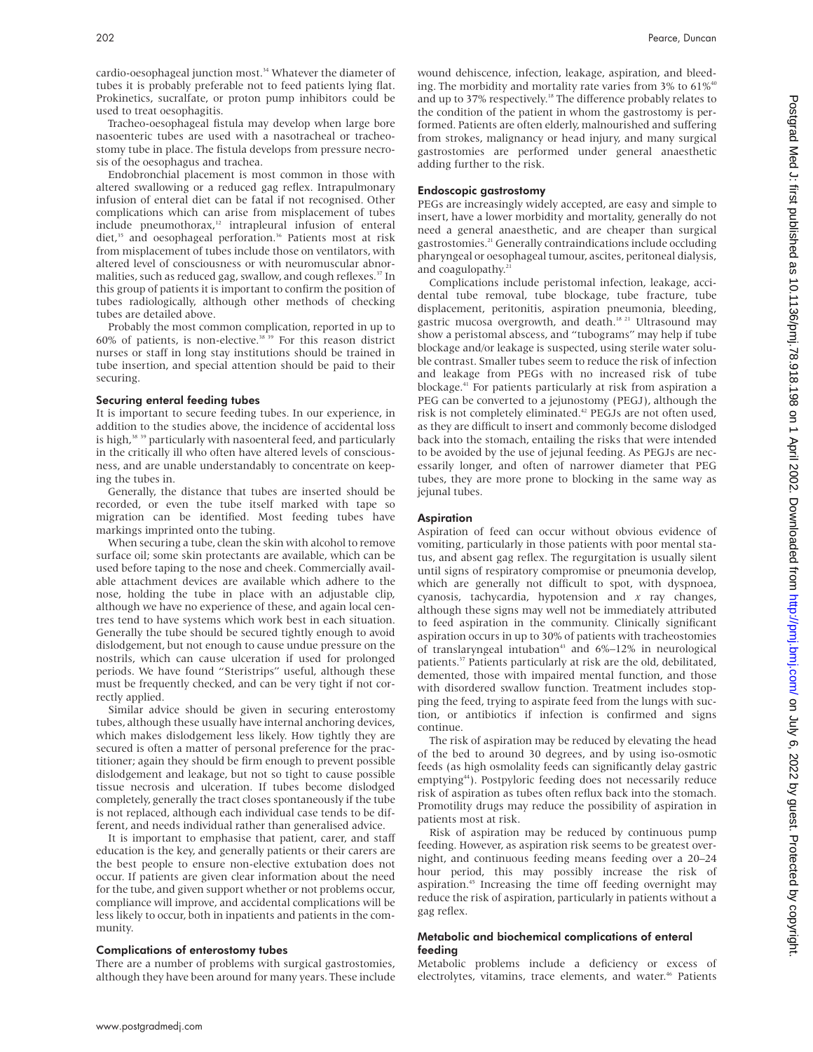cardio-oesophageal junction most.<sup>34</sup> Whatever the diameter of tubes it is probably preferable not to feed patients lying flat. Prokinetics, sucralfate, or proton pump inhibitors could be used to treat oesophagitis.

Tracheo-oesophageal fistula may develop when large bore nasoenteric tubes are used with a nasotracheal or tracheostomy tube in place. The fistula develops from pressure necrosis of the oesophagus and trachea.

Endobronchial placement is most common in those with altered swallowing or a reduced gag reflex. Intrapulmonary infusion of enteral diet can be fatal if not recognised. Other complications which can arise from misplacement of tubes include pneumothorax,<sup>12</sup> intrapleural infusion of enteral diet,<sup>35</sup> and oesophageal perforation.<sup>36</sup> Patients most at risk from misplacement of tubes include those on ventilators, with altered level of consciousness or with neuromuscular abnormalities, such as reduced gag, swallow, and cough reflexes.<sup>37</sup> In this group of patients it is important to confirm the position of tubes radiologically, although other methods of checking tubes are detailed above.

Probably the most common complication, reported in up to 60% of patients, is non-elective.<sup>38 39</sup> For this reason district nurses or staff in long stay institutions should be trained in tube insertion, and special attention should be paid to their securing.

#### Securing enteral feeding tubes

It is important to secure feeding tubes. In our experience, in addition to the studies above, the incidence of accidental loss is high, $38\,39$  particularly with nasoenteral feed, and particularly in the critically ill who often have altered levels of consciousness, and are unable understandably to concentrate on keeping the tubes in.

Generally, the distance that tubes are inserted should be recorded, or even the tube itself marked with tape so migration can be identified. Most feeding tubes have markings imprinted onto the tubing.

When securing a tube, clean the skin with alcohol to remove surface oil; some skin protectants are available, which can be used before taping to the nose and cheek. Commercially available attachment devices are available which adhere to the nose, holding the tube in place with an adjustable clip, although we have no experience of these, and again local centres tend to have systems which work best in each situation. Generally the tube should be secured tightly enough to avoid dislodgement, but not enough to cause undue pressure on the nostrils, which can cause ulceration if used for prolonged periods. We have found "Steristrips" useful, although these must be frequently checked, and can be very tight if not correctly applied.

Similar advice should be given in securing enterostomy tubes, although these usually have internal anchoring devices, which makes dislodgement less likely. How tightly they are secured is often a matter of personal preference for the practitioner; again they should be firm enough to prevent possible dislodgement and leakage, but not so tight to cause possible tissue necrosis and ulceration. If tubes become dislodged completely, generally the tract closes spontaneously if the tube is not replaced, although each individual case tends to be different, and needs individual rather than generalised advice.

It is important to emphasise that patient, carer, and staff education is the key, and generally patients or their carers are the best people to ensure non-elective extubation does not occur. If patients are given clear information about the need for the tube, and given support whether or not problems occur, compliance will improve, and accidental complications will be less likely to occur, both in inpatients and patients in the community.

#### Complications of enterostomy tubes

There are a number of problems with surgical gastrostomies, although they have been around for many years. These include wound dehiscence, infection, leakage, aspiration, and bleeding. The morbidity and mortality rate varies from  $3\%$  to  $61\%$ <sup>40</sup> and up to 37% respectively.<sup>18</sup> The difference probably relates to the condition of the patient in whom the gastrostomy is performed. Patients are often elderly, malnourished and suffering from strokes, malignancy or head injury, and many surgical gastrostomies are performed under general anaesthetic adding further to the risk.

#### Endoscopic gastrostomy

PEGs are increasingly widely accepted, are easy and simple to insert, have a lower morbidity and mortality, generally do not need a general anaesthetic, and are cheaper than surgical gastrostomies.<sup>21</sup> Generally contraindications include occluding pharyngeal or oesophageal tumour, ascites, peritoneal dialysis, and coagulopathy.<sup>2</sup>

Complications include peristomal infection, leakage, accidental tube removal, tube blockage, tube fracture, tube displacement, peritonitis, aspiration pneumonia, bleeding, gastric mucosa overgrowth, and death.<sup>18 21</sup> Ultrasound may show a peristomal abscess, and "tubograms" may help if tube blockage and/or leakage is suspected, using sterile water soluble contrast. Smaller tubes seem to reduce the risk of infection and leakage from PEGs with no increased risk of tube blockage.<sup>41</sup> For patients particularly at risk from aspiration a PEG can be converted to a jejunostomy (PEGJ), although the risk is not completely eliminated.42 PEGJs are not often used, as they are difficult to insert and commonly become dislodged back into the stomach, entailing the risks that were intended to be avoided by the use of jejunal feeding. As PEGJs are necessarily longer, and often of narrower diameter that PEG tubes, they are more prone to blocking in the same way as jejunal tubes.

## Aspiration

Aspiration of feed can occur without obvious evidence of vomiting, particularly in those patients with poor mental status, and absent gag reflex. The regurgitation is usually silent until signs of respiratory compromise or pneumonia develop, which are generally not difficult to spot, with dyspnoea, cyanosis, tachycardia, hypotension and *x* ray changes, although these signs may well not be immediately attributed to feed aspiration in the community. Clinically significant aspiration occurs in up to 30% of patients with tracheostomies of translaryngeal intubation<sup>43</sup> and 6%-12% in neurological patients.37 Patients particularly at risk are the old, debilitated, demented, those with impaired mental function, and those with disordered swallow function. Treatment includes stopping the feed, trying to aspirate feed from the lungs with suction, or antibiotics if infection is confirmed and signs continue.

The risk of aspiration may be reduced by elevating the head of the bed to around 30 degrees, and by using iso-osmotic feeds (as high osmolality feeds can significantly delay gastric emptying<sup>44</sup>). Postpyloric feeding does not necessarily reduce risk of aspiration as tubes often reflux back into the stomach. Promotility drugs may reduce the possibility of aspiration in patients most at risk.

Risk of aspiration may be reduced by continuous pump feeding. However, as aspiration risk seems to be greatest overnight, and continuous feeding means feeding over a 20–24 hour period, this may possibly increase the risk of aspiration.<sup>45</sup> Increasing the time off feeding overnight may reduce the risk of aspiration, particularly in patients without a gag reflex.

#### Metabolic and biochemical complications of enteral feeding

Metabolic problems include a deficiency or excess of electrolytes, vitamins, trace elements, and water.<sup>46</sup> Patients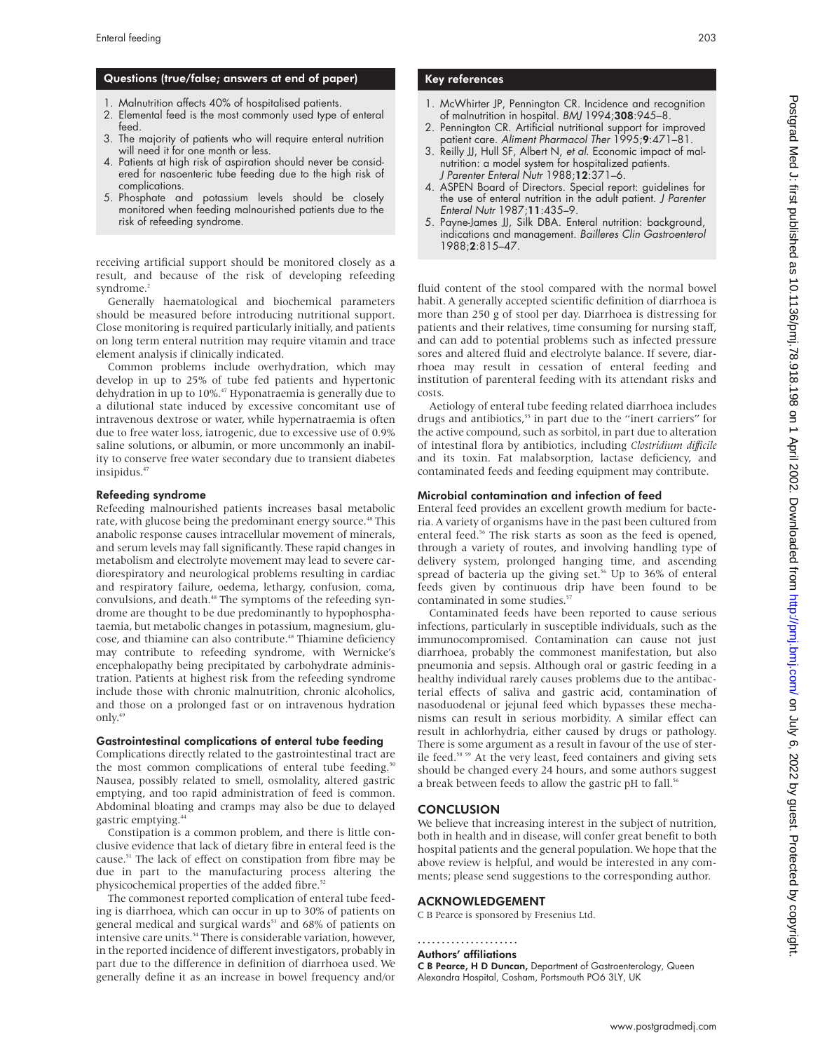## Questions (true/false; answers at end of paper)

- 1. Malnutrition affects 40% of hospitalised patients.
- 2. Elemental feed is the most commonly used type of enteral feed.
- 3. The majority of patients who will require enteral nutrition will need it for one month or less.
- 4. Patients at high risk of aspiration should never be considered for nasoenteric tube feeding due to the high risk of complications.
- 5. Phosphate and potassium levels should be closely monitored when feeding malnourished patients due to the risk of refeeding syndrome.

receiving artificial support should be monitored closely as a result, and because of the risk of developing refeeding syndrome.<sup>2</sup>

Generally haematological and biochemical parameters should be measured before introducing nutritional support. Close monitoring is required particularly initially, and patients on long term enteral nutrition may require vitamin and trace element analysis if clinically indicated.

Common problems include overhydration, which may develop in up to 25% of tube fed patients and hypertonic dehydration in up to 10%.47 Hyponatraemia is generally due to a dilutional state induced by excessive concomitant use of intravenous dextrose or water, while hypernatraemia is often due to free water loss, iatrogenic, due to excessive use of 0.9% saline solutions, or albumin, or more uncommonly an inability to conserve free water secondary due to transient diabetes insipidus.<sup>47</sup>

## Refeeding syndrome

Refeeding malnourished patients increases basal metabolic rate, with glucose being the predominant energy source.<sup>48</sup> This anabolic response causes intracellular movement of minerals, and serum levels may fall significantly. These rapid changes in metabolism and electrolyte movement may lead to severe cardiorespiratory and neurological problems resulting in cardiac and respiratory failure, oedema, lethargy, confusion, coma, convulsions, and death.<sup>48</sup> The symptoms of the refeeding syndrome are thought to be due predominantly to hypophosphataemia, but metabolic changes in potassium, magnesium, glucose, and thiamine can also contribute.<sup>48</sup> Thiamine deficiency may contribute to refeeding syndrome, with Wernicke's encephalopathy being precipitated by carbohydrate administration. Patients at highest risk from the refeeding syndrome include those with chronic malnutrition, chronic alcoholics, and those on a prolonged fast or on intravenous hydration only.49

## Gastrointestinal complications of enteral tube feeding

Complications directly related to the gastrointestinal tract are the most common complications of enteral tube feeding.<sup>50</sup> Nausea, possibly related to smell, osmolality, altered gastric emptying, and too rapid administration of feed is common. Abdominal bloating and cramps may also be due to delayed gastric emptying.44

Constipation is a common problem, and there is little conclusive evidence that lack of dietary fibre in enteral feed is the cause.51 The lack of effect on constipation from fibre may be due in part to the manufacturing process altering the physicochemical properties of the added fibre.<sup>52</sup>

The commonest reported complication of enteral tube feeding is diarrhoea, which can occur in up to 30% of patients on general medical and surgical wards<sup>53</sup> and 68% of patients on intensive care units.<sup>54</sup> There is considerable variation, however, in the reported incidence of different investigators, probably in part due to the difference in definition of diarrhoea used. We generally define it as an increase in bowel frequency and/or

## Key references

- 1. McWhirter JP, Pennington CR. Incidence and recognition of malnutrition in hospital. BMJ 1994;308:945–8.
- 2. Pennington CR. Artificial nutritional support for improved patient care. Aliment Pharmacol Ther 1995;9:471–81.
- 3. Reilly JJ, Hull SF, Albert N, et al. Economic impact of malnutrition: a model system for hospitalized patients. J Parenter Enteral Nutr 1988;12:371–6.
- 4. ASPEN Board of Directors. Special report: guidelines for the use of enteral nutrition in the adult patient. J Parenter Enteral Nutr 1987;11:435–9.
- 5. Payne-James JJ, Silk DBA. Enteral nutrition: background, indications and management. Bailleres Clin Gastroenterol 1988;2:815–47.

fluid content of the stool compared with the normal bowel habit. A generally accepted scientific definition of diarrhoea is more than 250 g of stool per day. Diarrhoea is distressing for patients and their relatives, time consuming for nursing staff, and can add to potential problems such as infected pressure sores and altered fluid and electrolyte balance. If severe, diarrhoea may result in cessation of enteral feeding and institution of parenteral feeding with its attendant risks and costs.

Aetiology of enteral tube feeding related diarrhoea includes drugs and antibiotics,<sup>55</sup> in part due to the "inert carriers" for the active compound, such as sorbitol, in part due to alteration of intestinal flora by antibiotics, including *Clostridium difficile* and its toxin. Fat malabsorption, lactase deficiency, and contaminated feeds and feeding equipment may contribute.

## Microbial contamination and infection of feed

Enteral feed provides an excellent growth medium for bacteria. A variety of organisms have in the past been cultured from enteral feed.<sup>56</sup> The risk starts as soon as the feed is opened, through a variety of routes, and involving handling type of delivery system, prolonged hanging time, and ascending spread of bacteria up the giving set.<sup>56</sup> Up to 36% of enteral feeds given by continuous drip have been found to be contaminated in some studies.<sup>57</sup>

Contaminated feeds have been reported to cause serious infections, particularly in susceptible individuals, such as the immunocompromised. Contamination can cause not just diarrhoea, probably the commonest manifestation, but also pneumonia and sepsis. Although oral or gastric feeding in a healthy individual rarely causes problems due to the antibacterial effects of saliva and gastric acid, contamination of nasoduodenal or jejunal feed which bypasses these mechanisms can result in serious morbidity. A similar effect can result in achlorhydria, either caused by drugs or pathology. There is some argument as a result in favour of the use of sterile feed.58 59 At the very least, feed containers and giving sets should be changed every 24 hours, and some authors suggest a break between feeds to allow the gastric pH to fall.<sup>56</sup>

## **CONCLUSION**

We believe that increasing interest in the subject of nutrition, both in health and in disease, will confer great benefit to both hospital patients and the general population. We hope that the above review is helpful, and would be interested in any comments; please send suggestions to the corresponding author.

## ACKNOWLEDGEMENT

C B Pearce is sponsored by Fresenius Ltd.

## .....................

Authors' affiliations

C B Pearce, H D Duncan, Department of Gastroenterology, Queen Alexandra Hospital, Cosham, Portsmouth PO6 3LY, UK